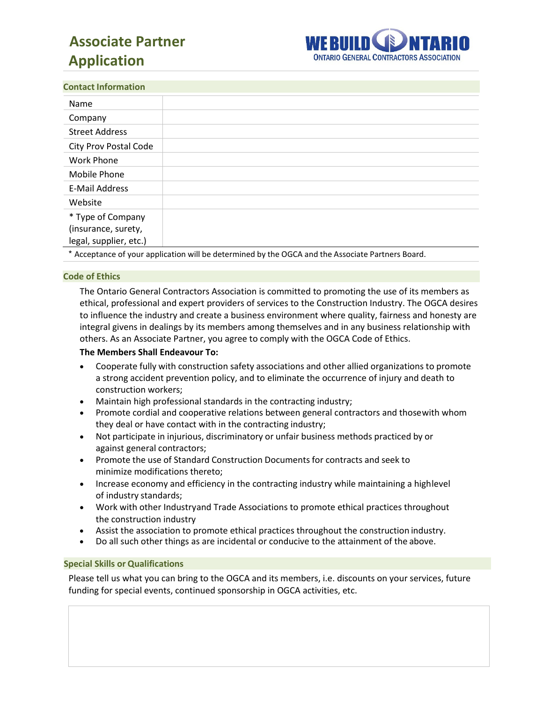# 0 B**Associate Partner Application**



## **Contact Information**

| Name                                                                                                                                                                                                                                                                                                                                                                                                                                                                                                                                                                                                                   |                                                         |
|------------------------------------------------------------------------------------------------------------------------------------------------------------------------------------------------------------------------------------------------------------------------------------------------------------------------------------------------------------------------------------------------------------------------------------------------------------------------------------------------------------------------------------------------------------------------------------------------------------------------|---------------------------------------------------------|
| Company                                                                                                                                                                                                                                                                                                                                                                                                                                                                                                                                                                                                                |                                                         |
| <b>Street Address</b>                                                                                                                                                                                                                                                                                                                                                                                                                                                                                                                                                                                                  |                                                         |
| <b>City Prov Postal Code</b>                                                                                                                                                                                                                                                                                                                                                                                                                                                                                                                                                                                           |                                                         |
| <b>Work Phone</b>                                                                                                                                                                                                                                                                                                                                                                                                                                                                                                                                                                                                      |                                                         |
| Mobile Phone                                                                                                                                                                                                                                                                                                                                                                                                                                                                                                                                                                                                           |                                                         |
| <b>E-Mail Address</b>                                                                                                                                                                                                                                                                                                                                                                                                                                                                                                                                                                                                  |                                                         |
| Website                                                                                                                                                                                                                                                                                                                                                                                                                                                                                                                                                                                                                |                                                         |
| * Type of Company                                                                                                                                                                                                                                                                                                                                                                                                                                                                                                                                                                                                      |                                                         |
| (insurance, surety,                                                                                                                                                                                                                                                                                                                                                                                                                                                                                                                                                                                                    |                                                         |
| legal, supplier, etc.)                                                                                                                                                                                                                                                                                                                                                                                                                                                                                                                                                                                                 |                                                         |
| $\begin{array}{ccc} \textcolor{red}{\bullet} & \textcolor{red}{\bullet} & \textcolor{red}{\bullet} & \textcolor{red}{\bullet} & \textcolor{red}{\bullet} & \textcolor{red}{\bullet} & \textcolor{red}{\bullet} & \textcolor{red}{\bullet} & \textcolor{red}{\bullet} & \textcolor{red}{\bullet} & \textcolor{red}{\bullet} & \textcolor{red}{\bullet} & \textcolor{red}{\bullet} & \textcolor{red}{\bullet} & \textcolor{red}{\bullet} & \textcolor{red}{\bullet} & \textcolor{red}{\bullet} & \textcolor{red}{\bullet} & \textcolor{red}{\bullet} & \textcolor{red}{\bullet} & \textcolor{red}{\bullet} & \textcolor$ | $\mathbf{r}$ . The state of the state $\mathbf{r}$<br>. |

Acceptance of your application will be determined by the OGCA and the Associate Partners Board.

## **Code of Ethics**

The Ontario General Contractors Association is committed to promoting the use of its members as ethical, professional and expert providers of services to the Construction Industry. The OGCA desires to influence the industry and create a business environment where quality, fairness and honesty are integral givens in dealings by its members among themselves and in any business relationship with others. As an Associate Partner, you agree to comply with the OGCA Code of Ethics.

## **The Members Shall Endeavour To:**

- Cooperate fully with construction safety associations and other allied organizations to promote a strong accident prevention policy, and to eliminate the occurrence of injury and death to construction workers;
- Maintain high professional standards in the contracting industry;
- Promote cordial and cooperative relations between general contractors and thosewith whom they deal or have contact with in the contracting industry;
- Not participate in injurious, discriminatory or unfair business methods practiced by or against general contractors;
- Promote the use of Standard Construction Documents for contracts and seek to minimize modifications thereto;
- Increase economy and efficiency in the contracting industry while maintaining a highlevel of industry standards;
- Work with other Industryand Trade Associations to promote ethical practices throughout the construction industry
- Assist the association to promote ethical practices throughout the construction industry.
- Do all such other things as are incidental or conducive to the attainment of the above.

## **Special Skills or Qualifications**

Please tell us what you can bring to the OGCA and its members, i.e. discounts on your services, future funding for special events, continued sponsorship in OGCA activities, etc.